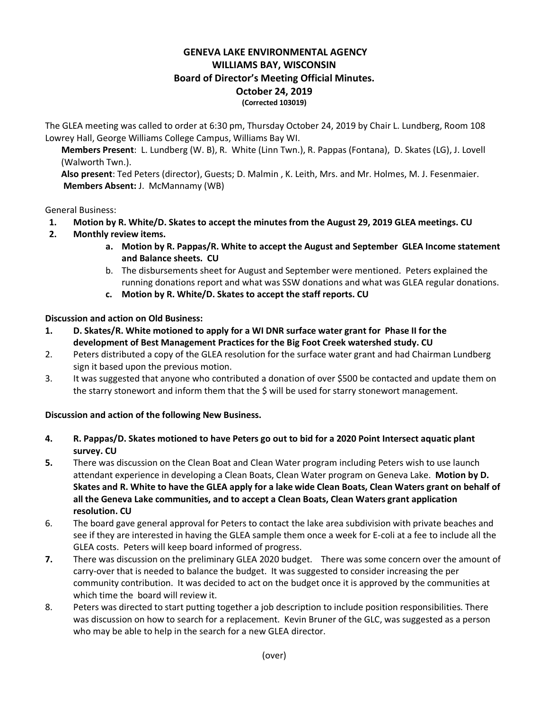## **GENEVA LAKE ENVIRONMENTAL AGENCY WILLIAMS BAY, WISCONSIN Board of Director's Meeting Official Minutes. October 24, 2019 (Corrected 103019)**

The GLEA meeting was called to order at 6:30 pm, Thursday October 24, 2019 by Chair L. Lundberg, Room 108 Lowrey Hall, George Williams College Campus, Williams Bay WI.

**Members Present**: L. Lundberg (W. B), R. White (Linn Twn.), R. Pappas (Fontana), D. Skates (LG), J. Lovell (Walworth Twn.).

**Also present**: Ted Peters (director), Guests; D. Malmin , K. Leith, Mrs. and Mr. Holmes, M. J. Fesenmaier. **Members Absent:** J. McMannamy (WB)

## General Business:

- **1. Motion by R. White/D. Skates to accept the minutes from the August 29, 2019 GLEA meetings. CU**
- **2. Monthly review items.**
	- **a. Motion by R. Pappas/R. White to accept the August and September GLEA Income statement and Balance sheets. CU**
	- b. The disbursements sheet for August and September were mentioned. Peters explained the running donations report and what was SSW donations and what was GLEA regular donations.
	- **c. Motion by R. White/D. Skates to accept the staff reports. CU**

## **Discussion and action on Old Business:**

- **1. D. Skates/R. White motioned to apply for a WI DNR surface water grant for Phase II for the development of Best Management Practices for the Big Foot Creek watershed study. CU**
- 2. Peters distributed a copy of the GLEA resolution for the surface water grant and had Chairman Lundberg sign it based upon the previous motion.
- 3. It was suggested that anyone who contributed a donation of over \$500 be contacted and update them on the starry stonewort and inform them that the \$ will be used for starry stonewort management.

## **Discussion and action of the following New Business.**

- **4. R. Pappas/D. Skates motioned to have Peters go out to bid for a 2020 Point Intersect aquatic plant survey. CU**
- **5.** There was discussion on the Clean Boat and Clean Water program including Peters wish to use launch attendant experience in developing a Clean Boats, Clean Water program on Geneva Lake. **Motion by D. Skates and R. White to have the GLEA apply for a lake wide Clean Boats, Clean Waters grant on behalf of all the Geneva Lake communities, and to accept a Clean Boats, Clean Waters grant application resolution. CU**
- 6. The board gave general approval for Peters to contact the lake area subdivision with private beaches and see if they are interested in having the GLEA sample them once a week for E-coli at a fee to include all the GLEA costs. Peters will keep board informed of progress.
- **7.** There was discussion on the preliminary GLEA 2020 budget. There was some concern over the amount of carry-over that is needed to balance the budget. It was suggested to consider increasing the per community contribution. It was decided to act on the budget once it is approved by the communities at which time the board will review it.
- 8. Peters was directed to start putting together a job description to include position responsibilities. There was discussion on how to search for a replacement. Kevin Bruner of the GLC, was suggested as a person who may be able to help in the search for a new GLEA director.